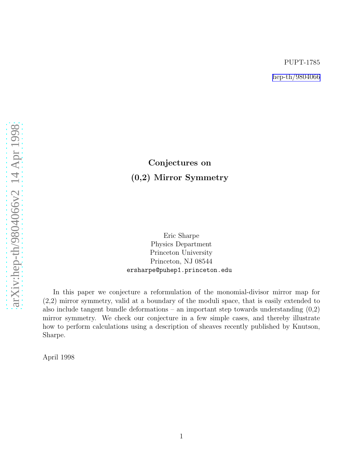# Conjectures on (0,2) Mirror Symmetry

Eric Sharpe Physics Department Princeton University Princeton, NJ 08544 ersharpe@puhep1.princeton.edu

In this paper we conjecture a reformulation of the monomial-divisor mirror map for (2,2) mirror symmetry, valid at a boundary of the moduli space, that is easily extended to also include tangent bundle deformations – an important step towards understanding  $(0,2)$ mirror symmetry. We check our conjecture in a few simple cases, and thereby illustrate how to perform calculations using a description of sheaves recently published by Knutson, Sharpe.

April 1998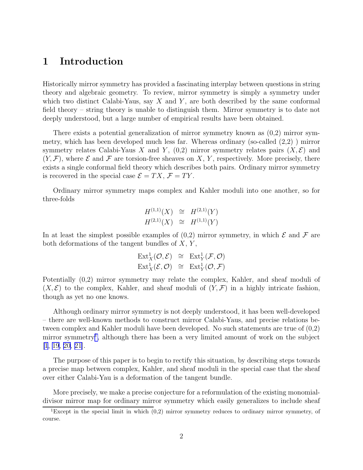## 1 Introduction

Historically mirror symmetry has provided a fascinating interplay between questions in string theory and algebraic geometry. To review, mirror symmetry is simply a symmetry under which two distinct Calabi-Yaus, say  $X$  and  $Y$ , are both described by the same conformal field theory – string theory is unable to distinguish them. Mirror symmetry is to date not deeply understood, but a large number of empirical results have been obtained.

There exists a potential generalization of mirror symmetry known as (0,2) mirror symmetry, which has been developed much less far. Whereas ordinary (so-called (2,2) ) mirror symmetry relates Calabi-Yaus X and Y,  $(0,2)$  mirror symmetry relates pairs  $(X,\mathcal{E})$  and  $(Y, \mathcal{F})$ , where  $\mathcal E$  and  $\mathcal F$  are torsion-free sheaves on X, Y, respectively. More precisely, there exists a single conformal field theory which describes both pairs. Ordinary mirror symmetry is recovered in the special case  $\mathcal{E} = TX$ ,  $\mathcal{F} = TY$ .

Ordinary mirror symmetry maps complex and Kahler moduli into one another, so for three-folds

$$
H^{(1,1)}(X) \cong H^{(2,1)}(Y)
$$
  

$$
H^{(2,1)}(X) \cong H^{(1,1)}(Y)
$$

In at least the simplest possible examples of  $(0,2)$  mirror symmetry, in which  $\mathcal E$  and  $\mathcal F$  are both deformations of the tangent bundles of  $X, Y$ ,

$$
\operatorname{Ext}^1_X(\mathcal{O}, \mathcal{E}) \cong \operatorname{Ext}^1_Y(\mathcal{F}, \mathcal{O})
$$
  

$$
\operatorname{Ext}^1_X(\mathcal{E}, \mathcal{O}) \cong \operatorname{Ext}^1_Y(\mathcal{O}, \mathcal{F})
$$

Potentially (0,2) mirror symmetry may relate the complex, Kahler, and sheaf moduli of  $(X, \mathcal{E})$  to the complex, Kahler, and sheaf moduli of  $(Y, \mathcal{F})$  in a highly intricate fashion, though as yet no one knows.

Although ordinary mirror symmetry is not deeply understood, it has been well-developed – there are well-known methods to construct mirror Calabi-Yaus, and precise relations between complex and Kahler moduli have been developed. No such statements are true of (0,2) mirror symmetry<sup>1</sup>, although there has been a very limited amount of work on the subject [\[1](#page-19-0), [19, 20, 21\]](#page-20-0).

The purpose of this paper is to begin to rectify this situation, by describing steps towards a precise map between complex, Kahler, and sheaf moduli in the special case that the sheaf over either Calabi-Yau is a deformation of the tangent bundle.

More precisely, we make a precise conjecture for a reformulation of the existing monomialdivisor mirror map for ordinary mirror symmetry which easily generalizes to include sheaf

<sup>&</sup>lt;sup>1</sup>Except in the special limit in which  $(0,2)$  mirror symmetry reduces to ordinary mirror symmetry, of course.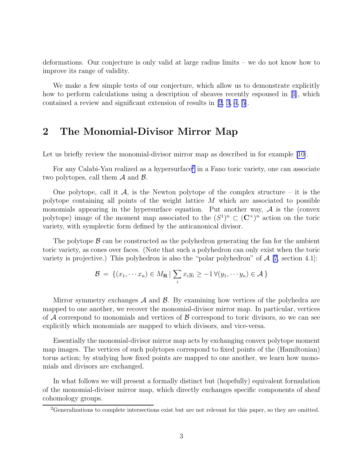deformations. Our conjecture is only valid at large radius limits – we do not know how to improve its range of validity.

We make a few simple tests of our conjecture, which allow us to demonstrate explicitly how to perform calculations using a description of sheaves recently espoused in [\[1](#page-19-0)], which contained a review and significant extension of results in [\[2, 3, 4](#page-19-0), [5\]](#page-19-0).

## 2 The Monomial-Divisor Mirror Map

Let us briefly review the monomial-divisor mirror map as described in for example [\[10\]](#page-20-0).

For any Calabi-Yau realized as a hypersurface<sup>2</sup> in a Fano toric variety, one can associate two polytopes, call them  $A$  and  $B$ .

One polytope, call it  $\mathcal{A}$ , is the Newton polytope of the complex structure – it is the polytope containing all points of the weight lattice  $M$  which are associated to possible monomials appearing in the hypersurface equation. Put another way,  $A$  is the (convex polytope) image of the moment map associated to the  $(S^1)^n \subset (\mathbb{C}^{\times})^n$  action on the toric variety, with symplectic form defined by the anticanonical divisor.

The polytope  $\beta$  can be constructed as the polyhedron generating the fan for the ambient toric variety, as cones over faces. (Note that such a polyhedron can only exist when the toric variety is projective.) This polyhedron is also the "polar polyhedron" of  $A$  [\[7](#page-20-0), section 4.1]:

$$
\mathcal{B} = \{(x_1, \dots, x_n) \in M_\mathbf{R} \mid \sum_i x_i y_i \ge -1 \,\forall (y_1, \dots, y_n) \in \mathcal{A}\}
$$

Mirror symmetry exchanges  $\mathcal A$  and  $\mathcal B$ . By examining how vertices of the polyhedra are mapped to one another, we recover the monomial-divisor mirror map. In particular, vertices of  $\mathcal A$  correspond to monomials and vertices of  $\mathcal B$  correspond to toric divisors, so we can see explicitly which monomials are mapped to which divisors, and vice-versa.

Essentially the monomial-divisor mirror map acts by exchanging convex polytope moment map images. The vertices of such polytopes correspond to fixed points of the (Hamiltonian) torus action; by studying how fixed points are mapped to one another, we learn how monomials and divisors are exchanged.

In what follows we will present a formally distinct but (hopefully) equivalent formulation of the monomial-divisor mirror map, which directly exchanges specific components of sheaf cohomology groups.

<sup>&</sup>lt;sup>2</sup>Generalizations to complete intersections exist but are not relevant for this paper, so they are omitted.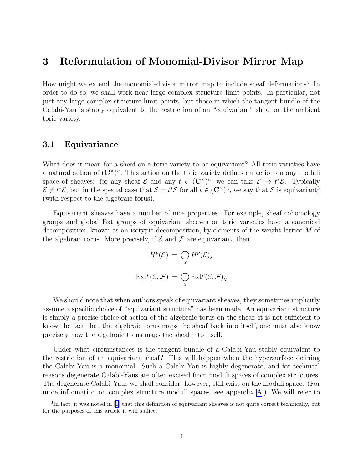### 3 Reformulation of Monomial-Divisor Mirror Map

How might we extend the monomial-divisor mirror map to include sheaf deformations? In order to do so, we shall work near large complex structure limit points. In particular, not just any large complex structure limit points, but those in which the tangent bundle of the Calabi-Yau is stably equivalent to the restriction of an "equivariant" sheaf on the ambient toric variety.

### 3.1 Equivariance

What does it mean for a sheaf on a toric variety to be equivariant? All toric varieties have a natural action of  $(\mathbb{C}^{\times})^n$ . This action on the toric variety defines an action on any moduli space of sheaves: for any sheaf  $\mathcal{E}$  and any  $t \in (\mathbb{C}^{\times})^n$ , we can take  $\mathcal{E} \mapsto t^*\mathcal{E}$ . Typically  $\mathcal{E} \neq t^*\mathcal{E}$ , but in the special case that  $\mathcal{E} = t^*\mathcal{E}$  for all  $t \in (\mathbb{C}^\times)^n$ , we say that  $\mathcal{E}$  is equivariant<sup>3</sup> (with respect to the algebraic torus).

Equivariant sheaves have a number of nice properties. For example, sheaf cohomology groups and global Ext groups of equivariant sheaves on toric varieties have a canonical decomposition, known as an isotypic decomposition, by elements of the weight lattice M of the algebraic torus. More precisely, if  $\mathcal E$  and  $\mathcal F$  are equivariant, then

$$
H^{p}(\mathcal{E}) = \bigoplus_{\chi} H^{p}(\mathcal{E})_{\chi}
$$

$$
\text{Ext}^{p}(\mathcal{E}, \mathcal{F}) = \bigoplus_{\chi} \text{Ext}^{p}(\mathcal{E}, \mathcal{F})_{\chi}
$$

We should note that when authors speak of equivariant sheaves, they sometimes implicitly assume a specific choice of "equivariant structure" has been made. An equivariant structure is simply a precise choice of action of the algebraic torus on the sheaf; it is not sufficient to know the fact that the algebraic torus maps the sheaf back into itself, one must also know precisely how the algebraic torus maps the sheaf into itself.

Under what circumstances is the tangent bundle of a Calabi-Yau stably equivalent to the restriction of an equivariant sheaf? This will happen when the hypersurface defining the Calabi-Yau is a monomial. Such a Calabi-Yau is highly degenerate, and for technical reasons degenerate Calabi-Yaus are often excised from moduli spaces of complex structures. The degenerate Calabi-Yaus we shall consider, however, still exist on the moduli space. (For more information on complex structure moduli spaces, see appendix [A.](#page-15-0)) We will refer to

<sup>&</sup>lt;sup>3</sup>Infact, it was noted in [[1\]](#page-19-0) that this definition of equivariant sheaves is not quite correct technically, but for the purposes of this article it will suffice.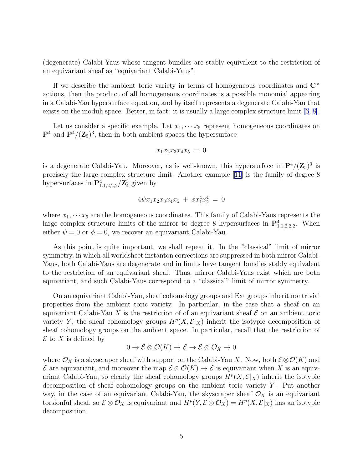(degenerate) Calabi-Yaus whose tangent bundles are stably equivalent to the restriction of an equivariant sheaf as "equivariant Calabi-Yaus".

If we describe the ambient toric variety in terms of homogeneous coordinates and  $\mathbb{C}^{\times}$ actions, then the product of all homogeneous coordinates is a possible monomial appearing in a Calabi-Yau hypersurface equation, and by itself represents a degenerate Calabi-Yau that exists on the moduli space. Better, in fact: it is usually a large complex structure limit [\[6](#page-20-0), [8\]](#page-20-0).

Let us consider a specific example. Let  $x_1, \cdots x_5$  represent homogeneous coordinates on  $\mathbf{P}^4$  and  $\mathbf{P}^4/(\mathbf{Z}_5)^3$ , then in both ambient spaces the hypersurface

$$
x_1 x_2 x_3 x_4 x_5 = 0
$$

is a degenerate Calabi-Yau. Moreover, as is well-known, this hypersurface in  $\mathbf{P}^4/(\mathbf{Z}_5)^3$  is precisely the large complex structure limit. Another example[[11](#page-20-0)] is the family of degree 8 hypersurfaces in  $\mathbf{P}^4_{1,1,2,2,2}/\mathbf{Z}^3_4$  given by

$$
4\psi x_1x_2x_3x_4x_5 + \phi x_1^4x_2^4 = 0
$$

where  $x_1, \dots, x_5$  are the homogeneous coordinates. This family of Calabi-Yaus represents the large complex structure limits of the mirror to degree 8 hypersurfaces in  $\mathbf{P}^4_{1,1,2,2,2}$ . When either  $\psi = 0$  or  $\phi = 0$ , we recover an equivariant Calabi-Yau.

As this point is quite important, we shall repeat it. In the "classical" limit of mirror symmetry, in which all worldsheet instanton corrections are suppressed in both mirror Calabi-Yaus, both Calabi-Yaus are degenerate and in limits have tangent bundles stably equivalent to the restriction of an equivariant sheaf. Thus, mirror Calabi-Yaus exist which are both equivariant, and such Calabi-Yaus correspond to a "classical" limit of mirror symmetry.

On an equivariant Calabi-Yau, sheaf cohomology groups and Ext groups inherit nontrivial properties from the ambient toric variety. In particular, in the case that a sheaf on an equivariant Calabi-Yau X is the restriction of of an equivariant sheaf  $\mathcal E$  on an ambient toric variety Y, the sheaf cohomology groups  $H^p(X, \mathcal{E}|_X)$  inherit the isotypic decomposition of sheaf cohomology groups on the ambient space. In particular, recall that the restriction of  $\mathcal E$  to X is defined by

$$
0 \to \mathcal{E} \otimes \mathcal{O}(K) \to \mathcal{E} \to \mathcal{E} \otimes \mathcal{O}_X \to 0
$$

where  $\mathcal{O}_X$  is a skyscraper sheaf with support on the Calabi-Yau X. Now, both  $\mathcal{E} \otimes \mathcal{O}(K)$  and  $\mathcal E$  are equivariant, and moreover the map  $\mathcal E \otimes \mathcal O(K) \to \mathcal E$  is equivariant when X is an equivariant Calabi-Yau, so clearly the sheaf cohomology groups  $H^p(X, \mathcal{E}|_X)$  inherit the isotypic decomposition of sheaf cohomology groups on the ambient toric variety  $Y$ . Put another way, in the case of an equivariant Calabi-Yau, the skyscraper sheaf  $\mathcal{O}_X$  is an equivariant torsionful sheaf, so  $\mathcal{E} \otimes \mathcal{O}_X$  is equivariant and  $H^p(Y, \mathcal{E} \otimes \mathcal{O}_X) = H^p(X, \mathcal{E}|_X)$  has an isotypic decomposition.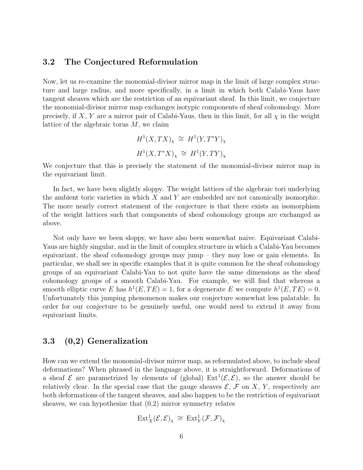### 3.2 The Conjectured Reformulation

Now, let us re-examine the monomial-divisor mirror map in the limit of large complex structure and large radius, and more specifically, in a limit in which both Calabi-Yaus have tangent sheaves which are the restriction of an equivariant sheaf. In this limit, we conjecture the monomial-divisor mirror map exchanges isotypic components of sheaf cohomology. More precisely, if X, Y are a mirror pair of Calabi-Yaus, then in this limit, for all  $\chi$  in the weight lattice of the algebraic torus  $M$ , we claim

$$
H^1(X, TX)_\chi \cong H^1(Y, T^*Y)_\chi
$$
  

$$
H^1(X, T^*X)_\chi \cong H^1(Y, TY)_\chi
$$

We conjecture that this is precisely the statement of the monomial-divisor mirror map in the equivariant limit.

In fact, we have been slightly sloppy. The weight lattices of the algebraic tori underlying the ambient toric varieties in which  $X$  and  $Y$  are embedded are not canonically isomorphic. The more nearly correct statement of the conjecture is that there exists an isomorphism of the weight lattices such that components of sheaf cohomology groups are exchanged as above.

Not only have we been sloppy, we have also been somewhat naive. Equivariant Calabi-Yaus are highly singular, and in the limit of complex structure in which a Calabi-Yau becomes equivariant, the sheaf cohomology groups may jump – they may lose or gain elements. In particular, we shall see in specific examples that it is quite common for the sheaf cohomology groups of an equivariant Calabi-Yau to not quite have the same dimensions as the sheaf cohomology groups of a smooth Calabi-Yau. For example, we will find that whereas a smooth elliptic curve E has  $h^1(E, TE) = 1$ , for a degenerate E we compute  $h^1(E, TE) = 0$ . Unfortunately this jumping phenomenon makes our conjecture somewhat less palatable. In order for our conjecture to be genuinely useful, one would need to extend it away from equivariant limits.

### 3.3 (0,2) Generalization

How can we extend the monomial-divisor mirror map, as reformulated above, to include sheaf deformations? When phrased in the language above, it is straightforward. Deformations of a sheaf  $\mathcal E$  are parametrized by elements of (global)  $\text{Ext}^1(\mathcal E,\mathcal E)$ , so the answer should be relatively clear. In the special case that the gauge sheaves  $\mathcal{E}, \mathcal{F}$  on X, Y, respectively are both deformations of the tangent sheaves, and also happen to be the restriction of equivariant sheaves, we can hypothesize that  $(0,2)$  mirror symmetry relates

$$
\text{Ext}^1_X(\mathcal{E}, \mathcal{E})_\chi \,\cong\, \text{Ext}^1_Y(\mathcal{F}, \mathcal{F})_\chi
$$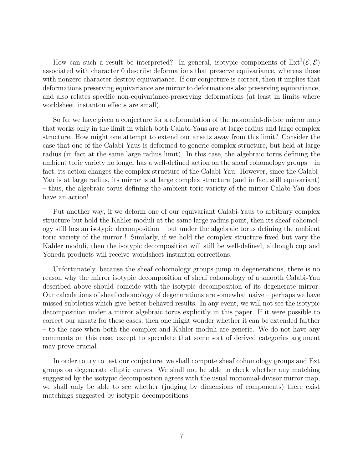How can such a result be interpreted? In general, isotypic components of  $Ext^1(\mathcal{E}, \mathcal{E})$ associated with character 0 describe deformations that preserve equivariance, whereas those with nonzero character destroy equivariance. If our conjecture is correct, then it implies that deformations preserving equivariance are mirror to deformations also preserving equivariance, and also relates specific non-equivariance-preserving deformations (at least in limits where worldsheet instanton effects are small).

So far we have given a conjecture for a reformulation of the monomial-divisor mirror map that works only in the limit in which both Calabi-Yaus are at large radius and large complex structure. How might one attempt to extend our ansatz away from this limit? Consider the case that one of the Calabi-Yaus is deformed to generic complex structure, but held at large radius (in fact at the same large radius limit). In this case, the algebraic torus defining the ambient toric variety no longer has a well-defined action on the sheaf cohomology groups – in fact, its action changes the complex structure of the Calabi-Yau. However, since the Calabi-Yau is at large radius, its mirror is at large complex structure (and in fact still equivariant) – thus, the algebraic torus defining the ambient toric variety of the mirror Calabi-Yau does have an action!

Put another way, if we deform one of our equivariant Calabi-Yaus to arbitrary complex structure but hold the Kahler moduli at the same large radius point, then its sheaf cohomology still has an isotypic decomposition – but under the algebraic torus defining the ambient toric variety of the mirror ! Similarly, if we hold the complex structure fixed but vary the Kahler moduli, then the isotypic decomposition will still be well-defined, although cup and Yoneda products will receive worldsheet instanton corrections.

Unfortunately, because the sheaf cohomology groups jump in degenerations, there is no reason why the mirror isotypic decomposition of sheaf cohomology of a smooth Calabi-Yau described above should coincide with the isotypic decomposition of its degenerate mirror. Our calculations of sheaf cohomology of degenerations are somewhat naive – perhaps we have missed subtleties which give better-behaved results. In any event, we will not see the isotypic decomposition under a mirror algebraic torus explicitly in this paper. If it were possible to correct our ansatz for these cases, then one might wonder whether it can be extended farther – to the case when both the complex and Kahler moduli are generic. We do not have any comments on this case, except to speculate that some sort of derived categories argument may prove crucial.

In order to try to test our conjecture, we shall compute sheaf cohomology groups and Ext groups on degenerate elliptic curves. We shall not be able to check whether any matching suggested by the isotypic decomposition agrees with the usual monomial-divisor mirror map, we shall only be able to see whether (judging by dimensions of components) there exist matchings suggested by isotypic decompositions.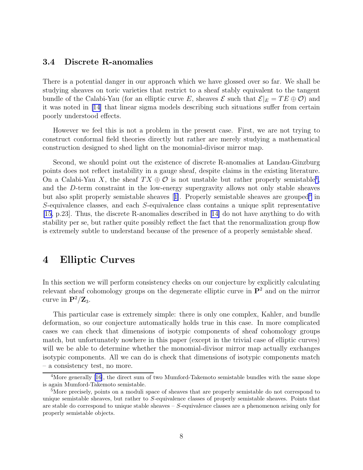### 3.4 Discrete R-anomalies

There is a potential danger in our approach which we have glossed over so far. We shall be studying sheaves on toric varieties that restrict to a sheaf stably equivalent to the tangent bundle of the Calabi-Yau (for an elliptic curve E, sheaves  $\mathcal E$  such that  $\mathcal E|_E = TE \oplus \mathcal O$ ) and it was noted in [\[14\]](#page-20-0) that linear sigma models describing such situations suffer from certain poorly understood effects.

However we feel this is not a problem in the present case. First, we are not trying to construct conformal field theories directly but rather are merely studying a mathematical construction designed to shed light on the monomial-divisor mirror map.

Second, we should point out the existence of discrete R-anomalies at Landau-Ginzburg points does not reflect instability in a gauge sheaf, despite claims in the existing literature. On a Calabi-Yau X, the sheaf  $TX \oplus \mathcal{O}$  is not unstable but rather properly semistable<sup>4</sup>, and the D-term constraint in the low-energy supergravity allows not only stable sheaves butalso split properly semistable sheaves [[1\]](#page-19-0). Properly semistable sheaves are grouped<sup>5</sup> in S-equivalence classes, and each S-equivalence class contains a unique split representative [\[15](#page-20-0), p.23]. Thus, the discrete R-anomalies described in[[14\]](#page-20-0) do not have anything to do with stability per se, but rather quite possibly reflect the fact that the renormalization group flow is extremely subtle to understand because of the presence of a properly semistable sheaf.

### 4 Elliptic Curves

In this section we will perform consistency checks on our conjecture by explicitly calculating relevant sheaf cohomology groups on the degenerate elliptic curve in  $\mathbf{P}^2$  and on the mirror curve in  $\mathbf{P}^2/\mathbf{Z}_3$ .

This particular case is extremely simple: there is only one complex, Kahler, and bundle deformation, so our conjecture automatically holds true in this case. In more complicated cases we can check that dimensions of isotypic components of sheaf cohomology groups match, but unfortunately nowhere in this paper (except in the trivial case of elliptic curves) will we be able to determine whether the monomial-divisor mirror map actually exchanges isotypic components. All we can do is check that dimensions of isotypic components match – a consistency test, no more.

<sup>&</sup>lt;sup>4</sup>More generally [\[16](#page-20-0)], the direct sum of two Mumford-Takemoto semistable bundles with the same slope is again Mumford-Takemoto semistable.

<sup>&</sup>lt;sup>5</sup>More precisely, points on a moduli space of sheaves that are properly semistable do not correspond to unique semistable sheaves, but rather to S-equivalence classes of properly semistable sheaves. Points that are stable do correspond to unique stable sheaves  $- S$ -equivalence classes are a phenomenon arising only for properly semistable objects.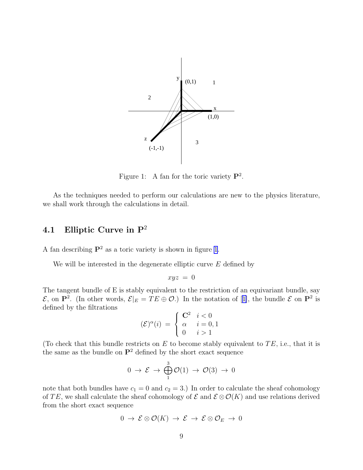<span id="page-8-0"></span>

Figure 1: A fan for the toric variety  $\mathbf{P}^2$ .

As the techniques needed to perform our calculations are new to the physics literature, we shall work through the calculations in detail.

### 4.1 Elliptic Curve in  $P^2$

A fan describing  $\mathbf{P}^2$  as a toric variety is shown in figure 1.

We will be interested in the degenerate elliptic curve  $E$  defined by

$$
xyz\ =\ 0
$$

The tangent bundle of E is stably equivalent to the restriction of an equivariant bundle, say  $\mathcal{E}$ ,on  $\mathbf{P}^2$ . (In other words,  $\mathcal{E}|_E = TE \oplus \mathcal{O}$ .) In the notation of [[1\]](#page-19-0), the bundle  $\mathcal{E}$  on  $\mathbf{P}^2$  is defined by the filtrations

$$
(\mathcal{E})^{\alpha}(i) = \begin{cases} \mathbf{C}^2 & i < 0 \\ \alpha & i = 0, 1 \\ 0 & i > 1 \end{cases}
$$

(To check that this bundle restricts on  $E$  to become stably equivalent to  $TE$ , i.e., that it is the same as the bundle on  $\mathbf{P}^2$  defined by the short exact sequence

$$
0 \to \mathcal{E} \to \bigoplus_{1}^{3} \mathcal{O}(1) \to \mathcal{O}(3) \to 0
$$

note that both bundles have  $c_1 = 0$  and  $c_2 = 3$ .) In order to calculate the sheaf cohomology of TE, we shall calculate the sheaf cohomology of  $\mathcal E$  and  $\mathcal E \otimes \mathcal O(K)$  and use relations derived from the short exact sequence

$$
0\to \mathcal{E}\otimes \mathcal{O}(K)\to \mathcal{E}\to \mathcal{E}\otimes \mathcal{O}_E\to 0
$$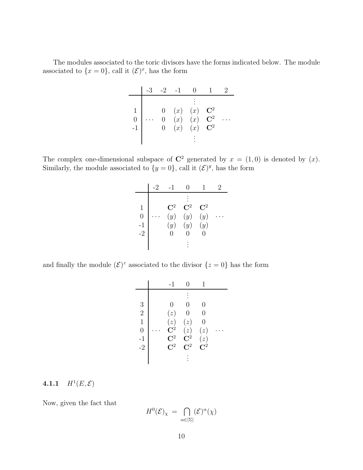The modules associated to the toric divisors have the forms indicated below. The module associated to  $\{x=0\}$ , call it  $(\mathcal{E})^x$ , has the form

| $\overline{0}$ |  | $\begin{array}{ccc} 0 & (x) & (x) \\ 0 & (x) & (x) \\ 0 & (x) & (x) \end{array}$ | $\frac{\bf C^2}{\bf C^2}$<br>${\bf C}^2$ |  |
|----------------|--|----------------------------------------------------------------------------------|------------------------------------------|--|

The complex one-dimensional subspace of  $\mathbb{C}^2$  generated by  $x = (1,0)$  is denoted by  $(x)$ . Similarly, the module associated to  $\{y=0\}$ , call it  $(\mathcal{E})^y$ , has the form

|                        | $-1$                              |                                   |                              |  |
|------------------------|-----------------------------------|-----------------------------------|------------------------------|--|
| 1<br>0<br>$-1$<br>$-2$ | $\mathbf{C}^2$<br>(y)<br>(y)<br>O | $\mathbf{C}^2$<br>(y)<br>(y)<br>O | $\mathrm{C}^2$<br>(y)<br>(y) |  |
|                        |                                   |                                   |                              |  |

and finally the module  $(\mathcal{E})^z$  associated to the divisor  $\{z=0\}$  has the form

|                | $-1$                 | $\left( \right)$ |                  |  |
|----------------|----------------------|------------------|------------------|--|
|                |                      |                  |                  |  |
| 3              |                      | 0                | 0                |  |
| $\overline{2}$ | (z)                  | $\hspace{.0cm}0$ | 0                |  |
| $\mathbf{1}$   | (z)                  | (z)              | 0                |  |
| $\overline{0}$ | $\overline{\bf C}^2$ | (z)              | (z)              |  |
| $-1$           | $\mathrm{C}^2$       | ${\bf C}^2$      | (z)              |  |
| $-2$           | $\mathrm{C}^2$       | $\mathrm{C}^2$   | $\overline{C}^2$ |  |
|                |                      |                  |                  |  |

#### $4.1.1$  $H^1(E, \mathcal{E})$

Now, given the fact that

$$
H^0(\mathcal{E})_\chi \,=\, \bigcap_{\alpha\in|\Sigma|} (\mathcal{E})^\alpha(\chi)
$$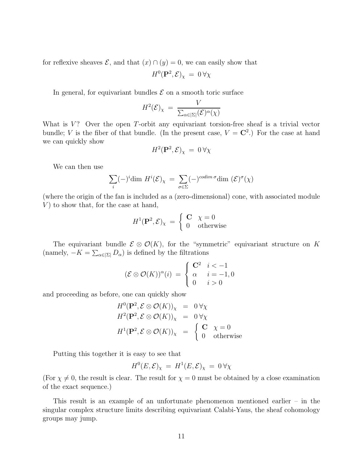for reflexive sheaves  $\mathcal{E}$ , and that  $(x) \cap (y) = 0$ , we can easily show that

$$
H^0({\bf P}^2,\mathcal{E})_\chi\,=\,0\,\forall\chi
$$

In general, for equivariant bundles  $\mathcal E$  on a smooth toric surface

$$
H^{2}(\mathcal{E})_{\chi} = \frac{V}{\sum_{\alpha \in |\Sigma|} (\mathcal{E})^{\alpha}(\chi)}
$$

What is  $V$ ? Over the open T-orbit any equivariant torsion-free sheaf is a trivial vector bundle; V is the fiber of that bundle. (In the present case,  $V = \mathbb{C}^2$ .) For the case at hand we can quickly show

$$
H^2(\mathbf{P}^2,\mathcal{E})_\chi\,=\,0\,\forall\chi
$$

We can then use

$$
\sum_{i} (-)^{i} \dim H^{i}(\mathcal{E})_{\chi} = \sum_{\sigma \in \Sigma} (-)^{codim \sigma} \dim (\mathcal{E})^{\sigma}(\chi)
$$

(where the origin of the fan is included as a (zero-dimensional) cone, with associated module  $V$ ) to show that, for the case at hand,

$$
H^{1}(\mathbf{P}^{2}, \mathcal{E})_{\chi} = \begin{cases} \mathbf{C} & \chi = 0\\ 0 & \text{otherwise} \end{cases}
$$

The equivariant bundle  $\mathcal{E} \otimes \mathcal{O}(K)$ , for the "symmetric" equivariant structure on K (namely,  $-K = \sum_{\alpha \in |\Sigma|} D_{\alpha}$ ) is defined by the filtrations

$$
(\mathcal{E} \otimes \mathcal{O}(K))^{\alpha}(i) = \begin{cases} \mathbf{C}^2 & i < -1 \\ \alpha & i = -1, 0 \\ 0 & i > 0 \end{cases}
$$

and proceeding as before, one can quickly show

$$
H^{0}(\mathbf{P}^{2}, \mathcal{E} \otimes \mathcal{O}(K))_{\chi} = 0 \forall \chi
$$
  
\n
$$
H^{2}(\mathbf{P}^{2}, \mathcal{E} \otimes \mathcal{O}(K))_{\chi} = 0 \forall \chi
$$
  
\n
$$
H^{1}(\mathbf{P}^{2}, \mathcal{E} \otimes \mathcal{O}(K))_{\chi} = \begin{cases} \mathbf{C} & \chi = 0 \\ 0 & \text{otherwise} \end{cases}
$$

Putting this together it is easy to see that

$$
H^0(E,\mathcal{E})_\chi = H^1(E,\mathcal{E})_\chi = 0 \,\forall \chi
$$

(For  $\chi \neq 0$ , the result is clear. The result for  $\chi = 0$  must be obtained by a close examination of the exact sequence.)

This result is an example of an unfortunate phenomenon mentioned earlier – in the singular complex structure limits describing equivariant Calabi-Yaus, the sheaf cohomology groups may jump.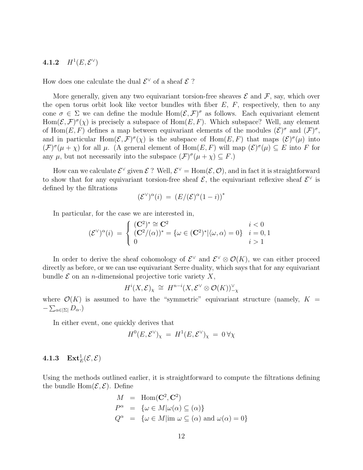### 4.1.2  $H^1(E, \mathcal{E}^{\vee})$

How does one calculate the dual  $\mathcal{E}^{\vee}$  of a sheaf  $\mathcal{E}$ ?

More generally, given any two equivariant torsion-free sheaves  $\mathcal E$  and  $\mathcal F$ , say, which over the open torus orbit look like vector bundles with fiber  $E$ ,  $F$ , respectively, then to any cone  $\sigma \in \Sigma$  we can define the module  $\text{Hom}(\mathcal{E}, \mathcal{F})^{\sigma}$  as follows. Each equivariant element  $Hom(\mathcal{E}, \mathcal{F})^{\sigma}(\chi)$  is precisely a subspace of  $Hom(E, F)$ . Which subspace? Well, any element of Hom $(E, F)$  defines a map between equivariant elements of the modules  $(\mathcal{E})^{\sigma}$  and  $(\mathcal{F})^{\sigma}$ , and in particular Hom $(\mathcal{E}, \mathcal{F})^{\sigma}(\chi)$  is the subspace of Hom $(E, F)$  that maps  $(\mathcal{E})^{\sigma}(\mu)$  into  $(\mathcal{F})^{\sigma}(\mu+\chi)$  for all  $\mu$ . (A general element of Hom $(E,F)$  will map  $(\mathcal{E})^{\sigma}(\mu) \subseteq E$  into F for any  $\mu$ , but not necessarily into the subspace  $(\mathcal{F})^{\sigma}(\mu + \chi) \subseteq F$ .

How can we calculate  $\mathcal{E}^{\vee}$  given  $\mathcal{E}$ ? Well,  $\mathcal{E}^{\vee}$  = Hom $(\mathcal{E}, \mathcal{O})$ , and in fact it is straightforward to show that for any equivariant torsion-free sheaf  $\mathcal{E}$ , the equivariant reflexive sheaf  $\mathcal{E}^{\vee}$  is defined by the filtrations

$$
(\mathcal{E}^{\vee})^{\alpha}(i) = (E/(\mathcal{E})^{\alpha}(1-i))^*
$$

In particular, for the case we are interested in,

$$
(\mathcal{E}^{\vee})^{\alpha}(i) = \begin{cases} (\mathbf{C}^{2})^{*} \cong \mathbf{C}^{2} & i < 0 \\ (\mathbf{C}^{2}/(\alpha))^{*} = {\omega \in (\mathbf{C}^{2})^{*}} | \langle \omega, \alpha \rangle = 0 \} & i = 0, 1 \\ 0 & i > 1 \end{cases}
$$

In order to derive the sheaf cohomology of  $\mathcal{E}^{\vee}$  and  $\mathcal{E}^{\vee} \otimes \mathcal{O}(K)$ , we can either proceed directly as before, or we can use equivariant Serre duality, which says that for any equivariant bundle  $\mathcal E$  on an *n*-dimensional projective toric variety X,

$$
H^i(X, \mathcal{E})_\chi \cong H^{n-i}(X, \mathcal{E}^\vee \otimes \mathcal{O}(K))_{-\chi}^\vee
$$

where  $\mathcal{O}(K)$  is assumed to have the "symmetric" equivariant structure (namely,  $K =$  $-\sum_{\alpha\in|\Sigma|}D_{\alpha}.$ 

In either event, one quickly derives that

$$
H^0(E, \mathcal{E}^{\vee})_{\chi} = H^1(E, \mathcal{E}^{\vee})_{\chi} = 0 \,\forall \chi
$$

### $\textbf{4.1.3} \quad \textbf{Ext}^1_E(\mathcal{E}, \mathcal{E})$

Using the methods outlined earlier, it is straightforward to compute the filtrations defining the bundle  $Hom(\mathcal{E}, \mathcal{E})$ . Define

$$
M = \text{Hom}(\mathbf{C}^2, \mathbf{C}^2)
$$
  
\n
$$
P^{\alpha} = \{ \omega \in M | \omega(\alpha) \subseteq (\alpha) \}
$$
  
\n
$$
Q^{\alpha} = \{ \omega \in M | \text{im } \omega \subseteq (\alpha) \text{ and } \omega(\alpha) = 0 \}
$$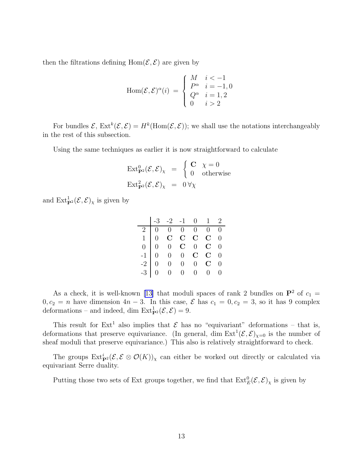then the filtrations defining  $Hom(\mathcal{E}, \mathcal{E})$  are given by

$$
\text{Hom}(\mathcal{E}, \mathcal{E})^{\alpha}(i) = \begin{cases} M & i < -1 \\ P^{\alpha} & i = -1, 0 \\ Q^{\alpha} & i = 1, 2 \\ 0 & i > 2 \end{cases}
$$

For bundles  $\mathcal{E}, \text{Ext}^k(\mathcal{E}, \mathcal{E}) = H^k(\text{Hom}(\mathcal{E}, \mathcal{E}))$ ; we shall use the notations interchangeably in the rest of this subsection.

Using the same techniques as earlier it is now straightforward to calculate

$$
\operatorname{Ext}_{\mathbf{P}^2}^0(\mathcal{E}, \mathcal{E})_\chi = \begin{cases} \mathbf{C} & \chi = 0 \\ 0 & \text{otherwise} \end{cases}
$$
  

$$
\operatorname{Ext}_{\mathbf{P}^2}^2(\mathcal{E}, \mathcal{E})_\chi = 0 \forall \chi
$$

and  $\text{Ext}_{\mathbf{P}^2}^1(\mathcal{E}, \mathcal{E})_\chi$  is given by

|  | $\begin{vmatrix} -3 & -2 & -1 & 0 & 1 & 2 \end{vmatrix}$                                                                                                                                                 |  |  |
|--|----------------------------------------------------------------------------------------------------------------------------------------------------------------------------------------------------------|--|--|
|  |                                                                                                                                                                                                          |  |  |
|  |                                                                                                                                                                                                          |  |  |
|  |                                                                                                                                                                                                          |  |  |
|  |                                                                                                                                                                                                          |  |  |
|  |                                                                                                                                                                                                          |  |  |
|  | $\begin{array}{c cccccc} \hline 2&0&0&0&0&0&0\ 1&0&{\bf C}&{\bf C}&{\bf C}&{\bf C}&0\ 0&0&0&{\bf C}&0&{\bf C}&0\ -1&0&0&0&{\bf C}&0&{\bf C}&0\ -2&0&0&0&0&{\bf C}&0\ -3&0&0&0&0&0&0\ \hline \end{array}$ |  |  |
|  |                                                                                                                                                                                                          |  |  |

As a check, it is well-known [\[13\]](#page-20-0) that moduli spaces of rank 2 bundles on  $\mathbf{P}^2$  of  $c_1$  =  $0, c_2 = n$  have dimension  $4n - 3$ . In this case,  $\mathcal{E}$  has  $c_1 = 0, c_2 = 3$ , so it has 9 complex deformations – and indeed, dim  $\text{Ext}_{\mathbf{P}^2}^1(\mathcal{E}, \mathcal{E}) = 9.$ 

This result for  $Ext<sup>1</sup>$  also implies that  $\mathcal E$  has no "equivariant" deformations – that is, deformations that preserve equivariance. (In general, dim  $\text{Ext}^1(\mathcal{E}, \mathcal{E})_{\chi=0}$  is the number of sheaf moduli that preserve equivariance.) This also is relatively straightforward to check.

The groups  $\mathrm{Ext}^i_{\mathbf{P}^2}(\mathcal{E}, \mathcal{E} \otimes \mathcal{O}(K))_\chi$  can either be worked out directly or calculated via equivariant Serre duality.

Putting those two sets of Ext groups together, we find that  $\text{Ext}^0_E(\mathcal{E}, \mathcal{E})_\chi$  is given by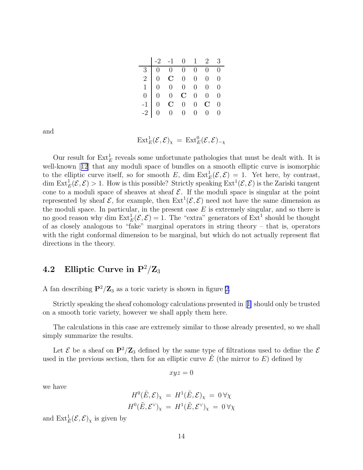|  | $\begin{vmatrix} -2 & -1 & 0 & 1 & 2 & 3 \end{vmatrix}$                                                                                                                                                                                                                               |  |  |
|--|---------------------------------------------------------------------------------------------------------------------------------------------------------------------------------------------------------------------------------------------------------------------------------------|--|--|
|  |                                                                                                                                                                                                                                                                                       |  |  |
|  |                                                                                                                                                                                                                                                                                       |  |  |
|  |                                                                                                                                                                                                                                                                                       |  |  |
|  |                                                                                                                                                                                                                                                                                       |  |  |
|  |                                                                                                                                                                                                                                                                                       |  |  |
|  | $\begin{array}{c cccccc} \hline 3 & 0 & 0 & 0 & 0 & 0 & 0 & 0 \ 2 & 0 & \mathbf{C} & 0 & 0 & 0 & 0 & 0 \ 1 & 0 & 0 & 0 & 0 & 0 & 0 & 0 \ 0 & 0 & 0 & \mathbf{C} & 0 & 0 & 0 & 0 \ -1 & 0 & \mathbf{C} & 0 & 0 & \mathbf{C} & 0 \ -2 & 0 & 0 & 0 & 0 & 0 & 0 & 0 \ \hline \end{array}$ |  |  |

and

$$
\mathrm{Ext}^1_E(\mathcal{E}, \mathcal{E})_\chi = \mathrm{Ext}^0_E(\mathcal{E}, \mathcal{E})_{-\chi}
$$

Our result for  $\text{Ext}_{E}^{1}$  reveals some unfortunate pathologies that must be dealt with. It is well-known[[12](#page-20-0)] that any moduli space of bundles on a smooth elliptic curve is isomorphic to the elliptic curve itself, so for smooth E, dim  $\text{Ext}_{E}^{1}(\mathcal{E}, \mathcal{E}) = 1$ . Yet here, by contrast, dim  $\text{Ext}_{E}^{1}(\mathcal{E}, \mathcal{E}) > 1$ . How is this possible? Strictly speaking  $\text{Ext}^{1}(\mathcal{E}, \mathcal{E})$  is the Zariski tangent cone to a moduli space of sheaves at sheaf  $\mathcal E$ . If the moduli space is singular at the point represented by sheaf  $\mathcal{E}$ , for example, then  $\text{Ext}^1(\mathcal{E}, \mathcal{E})$  need not have the same dimension as the moduli space. In particular, in the present case  $E$  is extremely singular, and so there is no good reason why dim  $\text{Ext}_{E}^{1}(\mathcal{E}, \mathcal{E}) = 1$ . The "extra" generators of  $\text{Ext}^{1}$  should be thought of as closely analogous to "fake" marginal operators in string theory – that is, operators with the right conformal dimension to be marginal, but which do not actually represent flat directions in the theory.

### 4.2 Elliptic Curve in  $P^2/Z_3$

A fan describing  $\mathbf{P}^2/\mathbf{Z}_3$  as a toric variety is shown in figure [2.](#page-14-0)

Strictly speaking the sheaf cohomology calculations presented in[[1\]](#page-19-0) should only be trusted on a smooth toric variety, however we shall apply them here.

The calculations in this case are extremely similar to those already presented, so we shall simply summarize the results.

Let  $\mathcal E$  be a sheaf on  $\mathbf{P}^2/\mathbf{Z}_3$  defined by the same type of filtrations used to define the  $\mathcal E$ used in the previous section, then for an elliptic curve  $E$  (the mirror to  $E$ ) defined by

$$
xyz=0
$$

we have

$$
H^{0}(\tilde{E}, \mathcal{E})_{\chi} = H^{1}(\tilde{E}, \mathcal{E})_{\chi} = 0 \,\forall \chi
$$
  

$$
H^{0}(\tilde{E}, \mathcal{E}^{\vee})_{\chi} = H^{1}(\tilde{E}, \mathcal{E}^{\vee})_{\chi} = 0 \,\forall \chi
$$

and  $\mathrm{Ext}^1_{\tilde{E}}(\mathcal{E}, \mathcal{E})_\chi$  is given by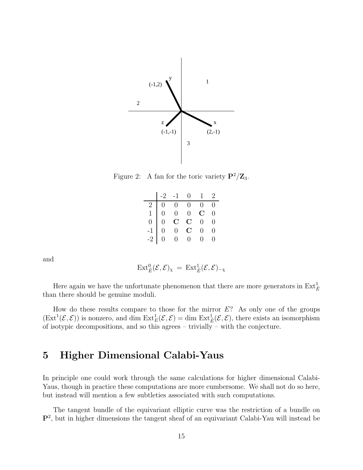<span id="page-14-0"></span>

Figure 2: A fan for the toric variety  $\mathbf{P}^2/\mathbf{Z}_3$ .

|                |                | $-2$ $-1$ 0       |                         | 1 2            |                  |
|----------------|----------------|-------------------|-------------------------|----------------|------------------|
| 2 <sup>1</sup> |                | $0 \quad 0$       | $\overline{0}$          | $\overline{0}$ | $\overline{0}$   |
| $\mathbf{1}$   | $\boxed{0}$    | $\overline{0}$    | $0\,$                   | $\mathbf C$    | $\overline{0}$   |
| $\overline{0}$ | $\overline{0}$ | $\rm \frac{C}{0}$ | $\overline{\mathbf{C}}$ | $\overline{0}$ | $\overline{0}$   |
| $-1$<br>$-2$   | $\overline{0}$ |                   | $\overline{\mathbf{C}}$ | $\overline{0}$ | $\overline{0}$   |
|                | $\overline{0}$ | $\overline{0}$    | $\overline{0}$          | 0.             | $\left( \right)$ |

and

$$
\operatorname{Ext}_{\tilde{E}}^0({\mathcal E},{\mathcal E})_{\chi} \, = \, \operatorname{Ext}_{\tilde{E}}^1({\mathcal E},{\mathcal E})_{-\chi}
$$

Here again we have the unfortunate phenomenon that there are more generators in  $\text{Ext}^1_{\tilde{E}}$ than there should be genuine moduli.

How do these results compare to those for the mirror  $E$ ? As only one of the groups  $(\text{Ext}^1(\mathcal{E}, \mathcal{E}))$  is nonzero, and dim  $\text{Ext}^1_E(\mathcal{E}, \mathcal{E}) = \text{dim }\text{Ext}^1_{\tilde{E}}(\mathcal{E}, \mathcal{E})$ , there exists an isomorphism of isotypic decompositions, and so this agrees – trivially – with the conjecture.

## 5 Higher Dimensional Calabi-Yaus

In principle one could work through the same calculations for higher dimensional Calabi-Yaus, though in practice these computations are more cumbersome. We shall not do so here, but instead will mention a few subtleties associated with such computations.

The tangent bundle of the equivariant elliptic curve was the restriction of a bundle on  $\mathbf{P}^2$ , but in higher dimensions the tangent sheaf of an equivariant Calabi-Yau will instead be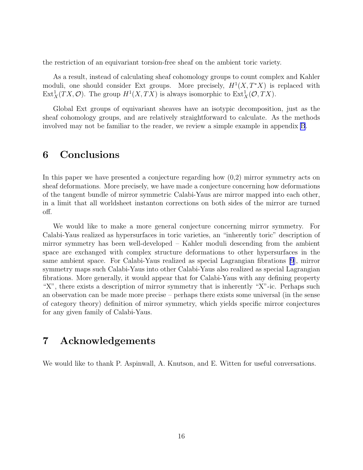<span id="page-15-0"></span>the restriction of an equivariant torsion-free sheaf on the ambient toric variety.

As a result, instead of calculating sheaf cohomology groups to count complex and Kahler moduli, one should consider Ext groups. More precisely,  $H^1(X, T^*X)$  is replaced with  $\text{Ext}^1_X(TX, \mathcal{O})$ . The group  $H^1(X, TX)$  is always isomorphic to  $\text{Ext}^1_X(\mathcal{O}, TX)$ .

Global Ext groups of equivariant sheaves have an isotypic decomposition, just as the sheaf cohomology groups, and are relatively straightforward to calculate. As the methods involved may not be familiar to the reader, we review a simple example in appendix [B](#page-17-0).

## 6 Conclusions

In this paper we have presented a conjecture regarding how (0,2) mirror symmetry acts on sheaf deformations. More precisely, we have made a conjecture concerning how deformations of the tangent bundle of mirror symmetric Calabi-Yaus are mirror mapped into each other, in a limit that all worldsheet instanton corrections on both sides of the mirror are turned off.

We would like to make a more general conjecture concerning mirror symmetry. For Calabi-Yaus realized as hypersurfaces in toric varieties, an "inherently toric" description of mirror symmetry has been well-developed – Kahler moduli descending from the ambient space are exchanged with complex structure deformations to other hypersurfaces in the same ambient space. For Calabi-Yaus realized as special Lagrangian fibrations [\[9](#page-20-0)], mirror symmetry maps such Calabi-Yaus into other Calabi-Yaus also realized as special Lagrangian fibrations. More generally, it would appear that for Calabi-Yaus with any defining property "X", there exists a description of mirror symmetry that is inherently "X"-ic. Perhaps such an observation can be made more precise – perhaps there exists some universal (in the sense of category theory) definition of mirror symmetry, which yields specific mirror conjectures for any given family of Calabi-Yaus.

## 7 Acknowledgements

We would like to thank P. Aspinwall, A. Knutson, and E. Witten for useful conversations.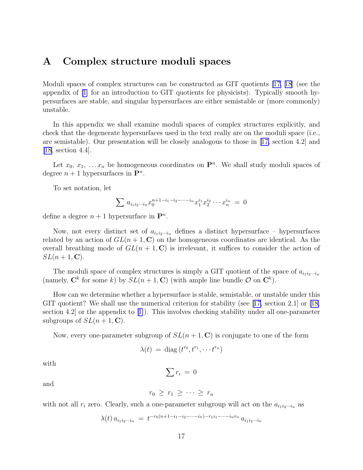### A Complex structure moduli spaces

Moduli spaces of complex structures can be constructed as GIT quotients [\[17](#page-20-0), [18](#page-20-0)] (see the appendix of [\[1](#page-19-0)] for an introduction to GIT quotients for physicists). Typically smooth hypersurfaces are stable, and singular hypersurfaces are either semistable or (more commonly) unstable.

In this appendix we shall examine moduli spaces of complex structures explicitly, and check that the degenerate hypersurfaces used in the text really are on the moduli space (i.e., are semistable). Our presentation will be closely analogous to those in[[17,](#page-20-0) section 4.2] and [\[18,](#page-20-0) section 4.4].

Let  $x_0, x_1, \ldots, x_n$  be homogeneous coordinates on  $\mathbf{P}^n$ . We shall study moduli spaces of degree  $n+1$  hypersurfaces in  $\mathbf{P}^n$ .

To set notation, let

$$
\sum a_{i_1 i_2 \cdots i_n} x_0^{n+1-i_1-i_2-\cdots-i_n} x_1^{i_1} x_2^{i_2} \cdots x_n^{i_n} = 0
$$

define a degree  $n+1$  hypersurface in  $\mathbf{P}^n$ .

Now, not every distinct set of  $a_{i_1i_2\cdots i_n}$  defines a distinct hypersurface – hypersurfaces related by an action of  $GL(n+1, \mathbb{C})$  on the homogeneous coordinates are identical. As the overall breathing mode of  $GL(n + 1, \mathbb{C})$  is irrelevant, it suffices to consider the action of  $SL(n+1, \mathbf{C}).$ 

The moduli space of complex structures is simply a GIT quotient of the space of  $a_{i_1i_2\cdots i_n}$ (namely,  $\mathbf{C}^k$  for some k) by  $SL(n+1,\mathbf{C})$  (with ample line bundle  $\mathcal{O}$  on  $\mathbf{C}^k$ ).

How can we determine whether a hypersurface is stable, semistable, or unstable under this GIT quotient? We shall use the numerical criterion for stability (see [[17,](#page-20-0)section 2.1] or [[18,](#page-20-0) section 4.2] or the appendix to[[1\]](#page-19-0)). This involves checking stability under all one-parameter subgroups of  $SL(n+1, \mathbb{C})$ .

Now, every one-parameter subgroup of  $SL(n + 1, \mathbb{C})$  is conjugate to one of the form

$$
\lambda(t) = \text{diag}(t^{r_0}, t^{r_1}, \cdots t^{r_n})
$$

with

$$
\sum r_i = 0
$$

and

$$
r_0 \geq r_1 \geq \cdots \geq r_n
$$

with not all  $r_i$  zero. Clearly, such a one-parameter subgroup will act on the  $a_{i_1i_2\cdots i_n}$  as

$$
\lambda(t) a_{i_1 i_2 \cdots i_n} = t^{-r_0(n+1-i_1-i_2-\cdots-i_n)-r_1 i_1-\cdots-i_n r_n} a_{i_1 i_2 \cdots i_n}
$$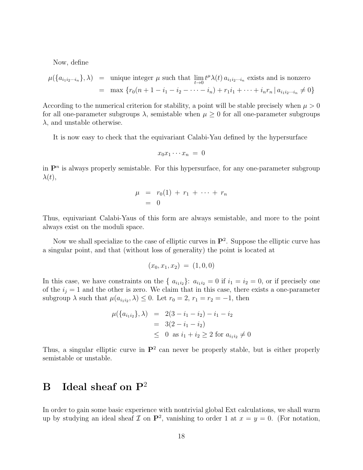<span id="page-17-0"></span>Now, define

$$
\mu(\lbrace a_{i_1i_2\cdots i_n} \rbrace, \lambda) = \text{unique integer } \mu \text{ such that } \lim_{t \to 0} t^{\mu} \lambda(t) a_{i_1i_2\cdots i_n} \text{ exists and is nonzero}
$$

$$
= \max \lbrace r_0(n+1-i_1-i_2-\cdots-i_n)+r_1i_1+\cdots+i_n r_n \, | \, a_{i_1i_2\cdots i_n} \neq 0 \rbrace
$$

According to the numerical criterion for stability, a point will be stable precisely when  $\mu > 0$ for all one-parameter subgroups  $\lambda$ , semistable when  $\mu \geq 0$  for all one-parameter subgroups  $\lambda$ , and unstable otherwise.

It is now easy to check that the equivariant Calabi-Yau defined by the hypersurface

$$
x_0 x_1 \cdots x_n = 0
$$

in  $\mathbf{P}^n$  is always properly semistable. For this hypersurface, for any one-parameter subgroup  $\lambda(t),$ 

$$
\begin{array}{rcl}\n\mu & = & r_0(1) + r_1 + \cdots + r_n \\
& = & 0\n\end{array}
$$

Thus, equivariant Calabi-Yaus of this form are always semistable, and more to the point always exist on the moduli space.

Now we shall specialize to the case of elliptic curves in  $\mathbf{P}^2$ . Suppose the elliptic curve has a singular point, and that (without loss of generality) the point is located at

$$
(x_0, x_1, x_2) = (1, 0, 0)
$$

In this case, we have constraints on the {  $a_{i_1i_2}$  :  $a_{i_1i_2} = 0$  if  $i_1 = i_2 = 0$ , or if precisely one of the  $i_j = 1$  and the other is zero. We claim that in this case, there exists a one-parameter subgroup  $\lambda$  such that  $\mu(a_{i_1 i_2}, \lambda) \leq 0$ . Let  $r_0 = 2$ ,  $r_1 = r_2 = -1$ , then

$$
\mu(\lbrace a_{i_1 i_2} \rbrace, \lambda) = 2(3 - i_1 - i_2) - i_1 - i_2
$$
  
= 3(2 - i\_1 - i\_2)  

$$
\leq 0 \text{ as } i_1 + i_2 \geq 2 \text{ for } a_{i_1 i_2} \neq 0
$$

Thus, a singular elliptic curve in  $\mathbf{P}^2$  can never be properly stable, but is either properly semistable or unstable.

## **B** Ideal sheaf on  $P^2$

In order to gain some basic experience with nontrivial global Ext calculations, we shall warm up by studying an ideal sheaf  $\mathcal I$  on  $\mathbf P^2$ , vanishing to order 1 at  $x = y = 0$ . (For notation,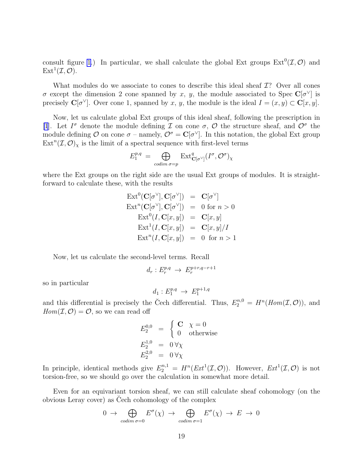consult figure [1](#page-8-0).) In particular, we shall calculate the global Ext groups  $\text{Ext}^0(\mathcal{I},\mathcal{O})$  and  $\mathrm{Ext}^1(\mathcal{I},\mathcal{O}).$ 

What modules do we associate to cones to describe this ideal sheaf  $\mathcal{I}$ ? Over all cones σ except the dimension 2 cone spanned by x, y, the module associated to Spec  $\mathbb{C}[\sigma^{\vee}]$  is precisely  $\mathbf{C}[\sigma^{\vee}]$ . Over cone 1, spanned by x, y, the module is the ideal  $I = (x, y) \subset \mathbf{C}[x, y]$ .

Now, let us calculate global Ext groups of this ideal sheaf, following the prescription in [\[1](#page-19-0)]. Let  $I^{\sigma}$  denote the module defining  $\mathcal I$  on cone  $\sigma$ ,  $\mathcal O$  the structure sheaf, and  $\mathcal O^{\sigma}$  the module defining O on cone  $\sigma$  – namely,  $\mathcal{O}^{\sigma} = \mathbf{C}[\sigma^{\vee}]$ . In this notation, the global Ext group  $\text{Ext}^n(\mathcal{I}, \mathcal{O})_\chi$  is the limit of a spectral sequence with first-level terms

$$
E_1^{p,q} \;=\; \bigoplus_{\text{codim } \sigma = p} \; \mathrm{Ext}^q_{\mathbf{C}[\sigma^\vee]}(I^\sigma,\mathcal{O}^\sigma)_\chi
$$

where the Ext groups on the right side are the usual Ext groups of modules. It is straightforward to calculate these, with the results

$$
\operatorname{Ext}^0(\mathbf{C}[\sigma^\vee], \mathbf{C}[\sigma^\vee]) = \mathbf{C}[\sigma^\vee]
$$
\n
$$
\operatorname{Ext}^n(\mathbf{C}[\sigma^\vee], \mathbf{C}[\sigma^\vee]) = 0 \text{ for } n > 0
$$
\n
$$
\operatorname{Ext}^0(I, \mathbf{C}[x, y]) = \mathbf{C}[x, y]
$$
\n
$$
\operatorname{Ext}^1(I, \mathbf{C}[x, y]) = \mathbf{C}[x, y]/I
$$
\n
$$
\operatorname{Ext}^n(I, \mathbf{C}[x, y]) = 0 \text{ for } n > 1
$$

Now, let us calculate the second-level terms. Recall

$$
d_r: E_r^{p,q} \to E_r^{p+r,q-r+1}
$$

so in particular

$$
d_1: E_1^{p,q} \to E_1^{p+1,q}
$$

and this differential is precisely the Čech differential. Thus,  $E_2^{n,0} = H^n(Hom(\mathcal{I}, \mathcal{O}))$ , and  $Hom(\mathcal{I}, \mathcal{O}) = \mathcal{O}$ , so we can read off

$$
E_2^{0,0} = \begin{cases} \mathbf{C} & \chi = 0\\ 0 & \text{otherwise} \end{cases}
$$
  

$$
E_2^{1,0} = 0 \forall \chi
$$
  

$$
E_2^{2,0} = 0 \forall \chi
$$

In principle, identical methods give  $E_2^{n,1} = H^n(Ext^1(\mathcal{I}, \mathcal{O}))$ . However,  $Ext^1(\mathcal{I}, \mathcal{O})$  is not torsion-free, so we should go over the calculation in somewhat more detail.

Even for an equivariant torsion sheaf, we can still calculate sheaf cohomology (on the obvious Leray cover) as Cech cohomology of the complex ˘

$$
0 \to \bigoplus_{\text{codim }\sigma=0} E^{\sigma}(\chi) \to \bigoplus_{\text{codim }\sigma=1} E^{\sigma}(\chi) \to E \to 0
$$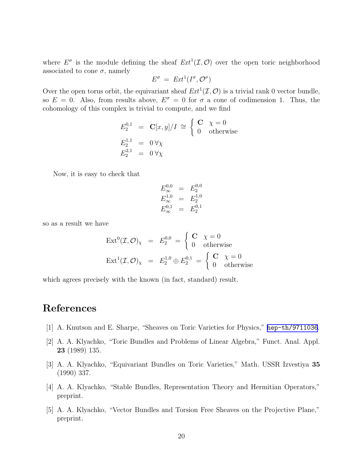<span id="page-19-0"></span>where  $E^{\sigma}$  is the module defining the sheaf  $Ext^1(\mathcal{I}, \mathcal{O})$  over the open toric neighborhood associated to cone  $\sigma$ , namely

$$
E^{\sigma} = Ext^{1}(I^{\sigma}, \mathcal{O}^{\sigma})
$$

Over the open torus orbit, the equivariant sheaf  $Ext^1(\mathcal{I}, \mathcal{O})$  is a trivial rank 0 vector bundle, so  $E = 0$ . Also, from results above,  $E^{\sigma} = 0$  for  $\sigma$  a cone of codimension 1. Thus, the cohomology of this complex is trivial to compute, and we find

$$
E_2^{0,1} = \mathbf{C}[x, y]/I \cong \begin{cases} \mathbf{C} & \chi = 0 \\ 0 & \text{otherwise} \end{cases}
$$
  

$$
E_2^{1,1} = 0 \forall \chi
$$
  

$$
E_2^{2,1} = 0 \forall \chi
$$

Now, it is easy to check that

$$
E_{\infty}^{0,0} = E_{2}^{0,0}
$$
  
\n
$$
E_{\infty}^{1,0} = E_{2}^{1,0}
$$
  
\n
$$
E_{\infty}^{0,1} = E_{2}^{0,1}
$$

so as a result we have

$$
\operatorname{Ext}^{0}(\mathcal{I}, \mathcal{O})_{\chi} = E_{2}^{0,0} = \begin{cases} \mathbf{C} & \chi = 0 \\ 0 & \text{otherwise} \end{cases}
$$

$$
\operatorname{Ext}^{1}(\mathcal{I}, \mathcal{O})_{\chi} = E_{2}^{1,0} \oplus E_{2}^{0,1} = \begin{cases} \mathbf{C} & \chi = 0 \\ 0 & \text{otherwise} \end{cases}
$$

which agrees precisely with the known (in fact, standard) result.

### References

- [1] A. Knutson and E. Sharpe, "Sheaves on Toric Varieties for Physics," [hep-th/9711036](http://arxiv.org/abs/hep-th/9711036).
- [2] A. A. Klyachko, "Toric Bundles and Problems of Linear Algebra," Funct. Anal. Appl. 23 (1989) 135.
- [3] A. A. Klyachko, "Equivariant Bundles on Toric Varieties," Math. USSR Izvestiya 35 (1990) 337.
- [4] A. A. Klyachko, "Stable Bundles, Representation Theory and Hermitian Operators," preprint.
- [5] A. A. Klyachko, "Vector Bundles and Torsion Free Sheaves on the Projective Plane," preprint.